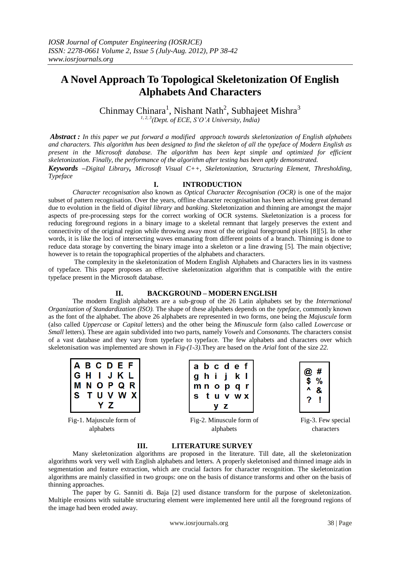# **A Novel Approach To Topological Skeletonization Of English Alphabets And Characters**

Chinmay Chinara<sup>1</sup>, Nishant Nath<sup>2</sup>, Subhajeet Mishra<sup>3</sup> *1, 2, 3(Dept. of ECE, S'O'A University, India)*

*Abstract : In this paper we put forward a modified approach towards skeletonization of English alphabets and characters. This algorithm has been designed to find the skeleton of all the typeface of Modern English as present in the Microsoft database. The algorithm has been kept simple and optimized for efficient skeletonization. Finally, the performance of the algorithm after testing has been aptly demonstrated.* 

*Keywords –Digital Library, Microsoft Visual C++, Skeletonization, Structuring Element, Thresholding, Typeface*

#### **I. INTRODUCTION**

*Character recognisation* also known as *Optical Character Recognisation (OCR)* is one of the major subset of pattern recognisation. Over the years, offline character recognisation has been achieving great demand due to evolution in the field of *digital library* and *banking*. Skeletonization and thinning are amongst the major aspects of pre-processing steps for the correct working of OCR systems. Skeletonization is a process for reducing foreground regions in a binary image to a skeletal remnant that largely preserves the extent and connectivity of the original region while throwing away most of the original foreground pixels [8][5]. In other words, it is like the loci of intersecting waves emanating from different points of a branch. Thinning is done to reduce data storage by converting the binary image into a skeleton or a line drawing [5]. The main objective; however is to retain the topographical properties of the alphabets and characters.

The complexity in the skeletonization of Modern English Alphabets and Characters lies in its vastness of typeface. This paper proposes an effective skeletonization algorithm that is compatible with the entire typeface present in the Microsoft database.

#### **II. BACKGROUND – MODERN ENGLISH**

The modern English alphabets are a sub-group of the 26 Latin alphabets set by the *International Organization of Standardization (ISO).* The shape of these alphabets depends on the *typeface*, commonly known as the font of the alphabet. The above 26 alphabets are represented in two forms, one being the *Majuscule* form (also called *Uppercase* or *Capital* letters) and the other being the *Minuscule* form (also called *Lowercase* or *Small* letters). These are again subdivided into two parts, namely *Vowels* and *Consonants.* The characters consist of a vast database and they vary from typeface to typeface. The few alphabets and characters over which skeletonisation was implemented are shown in *Fig-(1-3)*.They are based on the *Arial* font of the size *22*.

|     |  | <b>ABCDEF</b>              |
|-----|--|----------------------------|
| G H |  | GHIJKL<br>MNOPQR<br>STUVWX |
|     |  |                            |
|     |  |                            |
|     |  |                            |

Fig-1. Majuscule form of alphabets

|              |     |   | abcdef |
|--------------|-----|---|--------|
|              | ghi |   | j k l  |
|              |     |   | mnopq  |
| $\mathbf{s}$ |     |   | tuvwx  |
|              |     | z |        |

Fig-2. Minuscule form of alphabets

| @<br>\$ | #<br>%<br>& |
|---------|-------------|
| 7       |             |

Fig-3. Few special characters

#### **III. LITERATURE SURVEY**

Many skeletonization algorithms are proposed in the literature. Till date, all the skeletonization algorithms work very well with English alphabets and letters. A properly skeletonised and thinned image aids in segmentation and feature extraction, which are crucial factors for character recognition. The skeletonization algorithms are mainly classified in two groups: one on the basis of distance transforms and other on the basis of thinning approaches.

The paper by G. Sanniti di. Baja [2] used distance transform for the purpose of skeletonization. Multiple erosions with suitable structuring element were implemented here until all the foreground regions of the image had been eroded away.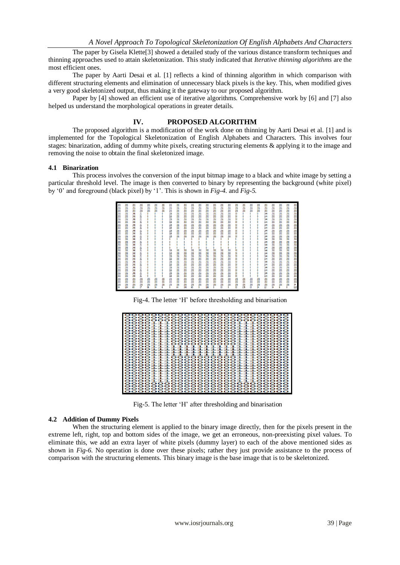The paper by Gisela Klette[3] showed a detailed study of the various distance transform techniques and thinning approaches used to attain skeletonization. This study indicated that *Iterative thinning algorithms* are the most efficient ones.

The paper by Aarti Desai et al. [1] reflects a kind of thinning algorithm in which comparison with different structuring elements and elimination of unnecessary black pixels is the key. This, when modified gives a very good skeletonized output, thus making it the gateway to our proposed algorithm.

Paper by [4] showed an efficient use of iterative algorithms. Comprehensive work by [6] and [7] also helped us understand the morphological operations in greater details.

#### **IV. PROPOSED ALGORITHM**

The proposed algorithm is a modification of the work done on thinning by Aarti Desai et al. [1] and is implemented for the Topological Skeletonization of English Alphabets and Characters. This involves four stages: binarization, adding of dummy white pixels, creating structuring elements & applying it to the image and removing the noise to obtain the final skeletonized image.

#### **4.1 Binarization**

This process involves the conversion of the input bitmap image to a black and white image by setting a particular threshold level. The image is then converted to binary by representing the background (white pixel) by "0" and foreground (black pixel) by "1". This is shown in *Fig-4.* and *Fig-5.*

| 255 | 255 | 255 | 255 | 255 | 255 | 255 | 255 | 255 | 255 | 255 | 255 | 255 | 255 | 255 | 255 | 255 | 255 | 255 | 255 | 255 | 255 | 255 | 255 | 255        |
|-----|-----|-----|-----|-----|-----|-----|-----|-----|-----|-----|-----|-----|-----|-----|-----|-----|-----|-----|-----|-----|-----|-----|-----|------------|
| 255 | 255 | 255 | 255 | 255 | 255 | 255 | 255 | 255 | 255 | 255 | 255 | 255 | 255 | 255 | 255 | 255 | 255 | 255 | 255 | 255 | 255 | 255 | 255 | 255        |
| 255 | 255 | 255 | 255 | 255 | 255 | 255 | 255 | 255 | 255 | 255 | 255 | 255 | 255 | 255 | 255 | 255 | 255 | 255 | 255 | 255 | 255 | 255 | 255 | 255        |
| 255 | 255 | 246 | ä   | Ō   |     | ٥   | 216 | 255 | 255 | 255 | 255 | 255 | 255 | 255 | 255 | 30  | ٥   | ٥   | ٥   | 144 | 255 | 255 | 255 |            |
| 255 | 255 | 246 | 21  |     |     |     | 216 | 255 | 255 | 255 | 255 | 255 | 255 | 255 | 255 | 30  |     |     | o   | 144 | 255 | 255 | 255 | 255<br>255 |
| 255 | 255 | 246 | ă   |     |     |     | 216 | 255 | 255 | 255 | 255 | 255 | 255 | 255 | 255 | 30  |     |     |     | 144 | 255 | 255 | 255 | 255        |
| 255 | 255 | 246 | ă   |     |     |     | 216 | 255 | 255 | 255 | 255 | 255 | 255 | 255 | 255 | 30  |     |     |     | 144 | 255 | 255 | 255 | 255        |
| 255 | 255 | 246 | ă   |     |     |     | 216 | 255 | 255 | 255 | 255 | 255 | 255 | 255 | 255 | 30  |     |     |     | 144 | 255 | 255 | 255 | 255        |
| 255 | 255 | 246 | 21  |     |     |     | 216 | 255 | 255 | 255 | 255 | 255 | 255 | 255 | 255 | 30  |     |     |     | 144 | 255 | 255 | 255 | 255        |
| 255 | 255 | 246 | ă   |     |     | ō   | 216 | 255 | 255 | 255 | 255 | 255 | 255 | 255 | 255 | 30  |     |     |     | 144 | 255 | 255 | 255 | 255        |
| 255 | 255 | 246 | ä   |     |     |     | 216 | 255 | 255 | 255 | 255 | 255 | 255 | 255 | 255 | 30  |     |     |     | 144 | 255 | 255 | 255 | 255<br>255 |
| 255 | 255 | 246 | ä   |     |     |     | 216 | 255 | 255 | 255 | 255 | 255 | 255 | 255 | 255 | 30  |     |     |     | 144 | 255 | 255 | 255 |            |
| 255 | 255 | 246 | ă   |     |     |     |     |     | ٥   |     |     |     | ٥   |     | ٥   |     |     |     |     | 144 | 255 | 255 | 255 | 255        |
| 255 | 255 | 246 | ă   |     |     |     |     |     |     |     |     |     |     |     |     |     |     |     |     | 144 | 255 | 255 | 255 | 255        |
| 255 | 255 | 246 | ă   |     |     |     |     |     |     |     |     |     |     |     |     |     |     |     |     | 144 | 255 | 255 | 255 | 255        |
| 255 | 255 | 246 | 21  |     |     |     |     |     |     |     |     |     | ٥   |     |     |     |     |     |     | 144 | 255 | 255 | 255 | 255        |
| 255 | 255 | 246 | ă   |     |     |     | 216 | 255 | 255 | 255 | 255 | 255 | 255 | 255 | 255 |     |     |     |     | 144 | 255 | 255 | 255 | 255        |
| 255 | 255 | 246 | z   |     |     | ٥   | 216 | 255 | 255 | 255 | 255 | 255 | 255 | 255 | 255 | 30  |     |     |     | 144 | 255 | 255 | 255 | 255        |
| 255 | 255 | 246 | ă   |     |     |     | 216 | 255 | 255 | 255 | 255 | 255 | 255 | 255 | 255 | 30  |     |     |     | 144 | 255 | 255 | 255 | 255        |
| 255 | 255 | 246 | ă   |     |     |     | 216 | 255 | 255 | 255 | 255 | 255 | 255 | 255 | 255 | 30  |     |     |     | 144 | 255 | 255 | 255 | 255        |
| 255 | 255 | 246 | ă   |     |     |     | 216 | 255 | 255 | 255 | 255 | 255 | 255 | 255 | 255 | 30  |     |     |     | 144 | 255 | 255 | 255 | 255        |
| 255 | 255 | 246 | ă   |     |     |     | 216 | 255 | 255 | 255 | 255 | 255 | 255 | 255 | 255 | 30  |     |     |     | 144 | 255 | 255 | 255 | 255        |
| 255 | 255 | 246 | Ά   |     |     |     | 216 | 255 | 255 | 255 | 255 | 255 | 255 | 255 | 255 | 30  |     |     |     | 144 | 255 | 255 | 255 | 255        |
| 255 | 255 | 246 | z   |     |     |     | 216 | 255 | 255 | 255 | 255 | 255 | 255 | 255 | 255 | 30  |     |     |     | 144 | 255 | 255 | 255 | 255        |
| 255 | 255 | 246 | ă   |     |     |     | 216 | 255 | 255 | 255 | 255 | 255 | 255 | 255 | 255 | 30  |     |     |     | 144 | 255 | 255 | 255 | 255        |
| 255 | 255 | 246 | 21  |     |     | ٥   | 216 | 255 | 255 | 255 | 255 | 255 | 255 | 255 | 255 | 30  | ٥   | ٥   | ٥   | 144 | 255 | 255 | 255 | 255        |
| 255 | 255 | 255 | 255 | 255 | 255 | 255 | 255 | 255 | 255 | 255 | 255 | 255 | 255 | 255 | 255 | 255 | 255 | 255 | 255 | 255 | 255 | 255 | 255 | 255        |
| 255 | 255 | 255 | 255 | 255 | 255 | 255 | 255 | 255 | 255 | 255 | 255 | 255 | 255 | 255 | 255 | 255 | 255 | 255 | 255 | 255 | 255 | 255 | 255 | 255        |
| 255 | 255 | 255 | 255 | 255 | 255 | 255 | 255 | 255 | 255 | 255 | 255 | 255 | 255 | 255 | 255 | 255 | 255 | 255 | 255 | 255 | 255 | 255 | 255 | 34         |
| 34  | 184 | 60  | 27  | 86  | 34  | 6   | ٥   | 64  | 249 | 60  | ٥   | 196 | ٥   | 55  | ٥   | 32  | 176 | 53  | 24  | 12  | 34  |     |     | 112        |

Fig-4. The letter "H" before thresholding and binarisation

| 000000000000000000<br>oo                                                                                                            |
|-------------------------------------------------------------------------------------------------------------------------------------|
| $\bullet$<br>00000000000000000<br>000000000000000000000<br>ິ<br>$\bullet$                                                           |
| 100000000001<br>0001<br>ິ                                                                                                           |
| 00011100000000001110<br>ິ<br>ິ                                                                                                      |
| oo<br>.0000000000111<br>o<br>o                                                                                                      |
| 100000000001110<br>o<br>0001<br>-                                                                                                   |
| 0000000<br>ິ                                                                                                                        |
| o<br>0001<br>100000000001                                                                                                           |
| 10000000000<br>$\mathbf{r}$<br>-1<br>$\mathbf{1} \mathbf{O}$<br>ooo<br>0011<br>88888888111<br>ິ<br>ິ<br>$\bullet$<br>$\bullet$<br>っ |
| 100000000001110<br>ິ<br>ິ<br>00011                                                                                                  |
| 111111<br>o                                                                                                                         |
| 1111<br>ິ<br>ooo1<br>$\mathbf{\mathcal{L}}$<br>- 1<br>$\mathbf{\mathcal{L}}$<br>- 1<br>n.<br>-                                      |
| . 1. 1. 1. 1. 1<br>$\mathbf{\mathcal{L}}$<br>$\mathbf{r}$<br>$\mathbf{\mathcal{L}}$<br>ooo<br>o                                     |
| --------------<br>ິ<br>0001                                                                                                         |
| 00011100000000001110<br>っ<br>o                                                                                                      |
| 000000<br>000<br>o<br>o                                                                                                             |
| 8881118888888888111<br>.000000000011<br>$\circ$<br>o<br>ິ                                                                           |
| 00000000001110<br>o                                                                                                                 |
| 00000000<br>ິ<br>ິ<br>oo<br>n<br>$\sim$                                                                                             |
| o<br>0001<br>100000000001                                                                                                           |
| $\mathbf{\mathbf{u}}$<br>1000000000011<br>ooo<br>┓<br>o<br>⌒                                                                        |
| 8888888811<br>oo<br>-<br>o<br>$\bullet$                                                                                             |
| 11100000000001110                                                                                                                   |
| coco<br>െ                                                                                                                           |
| ິ<br>oo<br>00000000000000000                                                                                                        |
| 0000000000000000000<br>o<br>o<br>o                                                                                                  |
|                                                                                                                                     |

Fig-5. The letter "H" after thresholding and binarisation

#### **4.2 Addition of Dummy Pixels**

When the structuring element is applied to the binary image directly, then for the pixels present in the extreme left, right, top and bottom sides of the image, we get an erroneous, non-preexisting pixel values. To eliminate this, we add an extra layer of white pixels (dummy layer) to each of the above mentioned sides as shown in *Fig-6*. No operation is done over these pixels; rather they just provide assistance to the process of comparison with the structuring elements. This binary image is the base image that is to be skeletonized.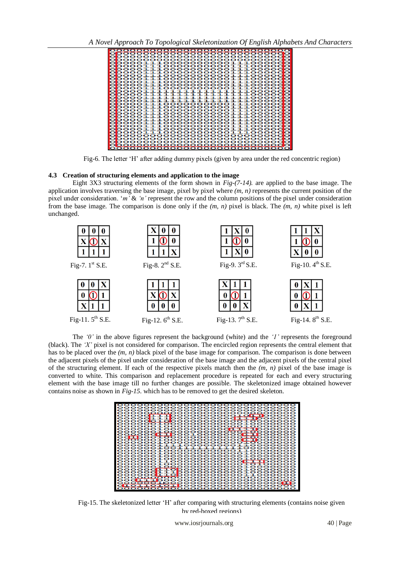*A Novel Approach To Topological Skeletonization Of English Alphabets And Characters*



Fig-6. The letter 'H' after adding dummy pixels (given by area under the red concentric region)

#### **4.3 Creation of structuring elements and application to the image**

Eight 3X3 structuring elements of the form shown in *Fig-(7-14).* are applied to the base image. The application involves traversing the base image, pixel by pixel where *(m, n)* represents the current position of the pixel under consideration. "*m'* & *'n'* represent the row and the column positions of the pixel under consideration from the base image. The comparison is done only if the *(m, n)* pixel is black. The *(m, n)* white pixel is left unchanged.



The *'0'* in the above figures represent the background (white) and the *'1'* represents the foreground (black). The *'X'* pixel is not considered for comparison. The encircled region represents the central element that has to be placed over the *(m, n)* black pixel of the base image for comparison. The comparison is done between the adjacent pixels of the pixel under consideration of the base image and the adjacent pixels of the central pixel of the structuring element. If each of the respective pixels match then the *(m, n)* pixel of the base image is converted to white. This comparison and replacement procedure is repeated for each and every structuring element with the base image till no further changes are possible. The skeletonized image obtained however contains noise as shown in *Fig-15.* which has to be removed to get the desired skeleton.



Fig-15. The skeletonized letter "H" after comparing with structuring elements (contains noise given by red-boxed regions)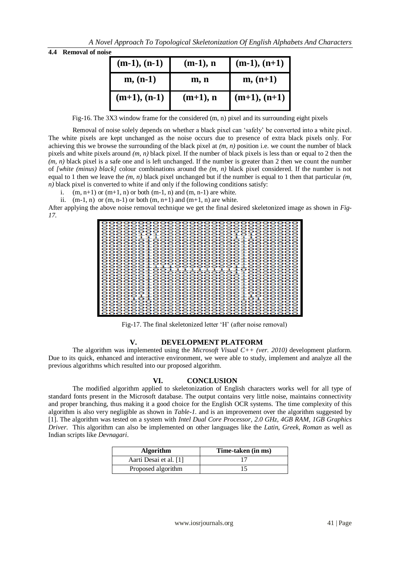| 4.4 | <b>Removal of noise</b> |  |  |
|-----|-------------------------|--|--|
|-----|-------------------------|--|--|

| $(m-1), (n-1)$ | $(m-1)$ , n | $(m-1), (n+1)$ |
|----------------|-------------|----------------|
| $m, (n-1)$     | m, n        | $m, (n+1)$     |
| $(m+1), (n-1)$ | $(m+1)$ , n | $(m+1), (n+1)$ |

Fig-16. The 3X3 window frame for the considered (m, n) pixel and its surrounding eight pixels

Removal of noise solely depends on whether a black pixel can "safely" be converted into a white pixel. The white pixels are kept unchanged as the noise occurs due to presence of extra black pixels only. For achieving this we browse the surrounding of the black pixel at *(m, n)* position i.e. we count the number of black pixels and white pixels around *(m, n)* black pixel. If the number of black pixels is less than or equal to 2 then the *(m, n)* black pixel is a safe one and is left unchanged. If the number is greater than 2 then we count the number of *[white (minus) black]* colour combinations around the *(m, n)* black pixel considered. If the number is not equal to 1 then we leave the  $(m, n)$  black pixel unchanged but if the number is equal to 1 then that particular  $(m, n)$  $n)$  black pixel is converted to white if and only if the following conditions satisfy:

i.  $(m, n+1)$  or  $(m+1, n)$  or both  $(m-1, n)$  and  $(m, n-1)$  are white.

ii.  $(m-1, n)$  or  $(m, n-1)$  or both  $(m, n+1)$  and  $(m+1, n)$  are white.

After applying the above noise removal technique we get the final desired skeletonized image as shown in *Fig-17.*

|                                                                                                                                                                                                                                                                                                                                                                                                                                                                                                                                                                                                                                                                                                                                                                                                                                                                                                                                                                                                                   | 0000000000000000000000000000000 |
|-------------------------------------------------------------------------------------------------------------------------------------------------------------------------------------------------------------------------------------------------------------------------------------------------------------------------------------------------------------------------------------------------------------------------------------------------------------------------------------------------------------------------------------------------------------------------------------------------------------------------------------------------------------------------------------------------------------------------------------------------------------------------------------------------------------------------------------------------------------------------------------------------------------------------------------------------------------------------------------------------------------------|---------------------------------|
| 000000000000000000000000000000<br>000000000000000000000000000000000<br>00000101000000000001010000000<br>00000111000000000001110000000<br>000000010000000000000100000000<br>0000001000000000000100000000<br>00000001 000000000000001 00000000<br>0000001000000000000100000000<br>0000001000000000000100000000<br>00000010000000000000100000000<br>0000001000000000000100000000<br>0000001000000000000100000000<br>0000000100000000000000100000000<br>000000011110000000001100000000<br>000000010011111111111000000000<br>0000000100000000000001100000000<br>000000010000000000000100000000<br>000000010000000000000100000000<br>00000010000000000000100000000<br>00000001 000000000000001 00000000<br>00000001 000000000000001 00000000<br>0000001000000000000100000000<br>00000001.00000000000001.00000000<br>00001100000000000011000000<br>0000101000000000000010100000<br>0000000000000000000000000000<br>000000000000000000000000000000000<br>00000000000000000000000000000<br>0000000000000000000000000000000 |                                 |
|                                                                                                                                                                                                                                                                                                                                                                                                                                                                                                                                                                                                                                                                                                                                                                                                                                                                                                                                                                                                                   |                                 |
|                                                                                                                                                                                                                                                                                                                                                                                                                                                                                                                                                                                                                                                                                                                                                                                                                                                                                                                                                                                                                   |                                 |
|                                                                                                                                                                                                                                                                                                                                                                                                                                                                                                                                                                                                                                                                                                                                                                                                                                                                                                                                                                                                                   |                                 |
|                                                                                                                                                                                                                                                                                                                                                                                                                                                                                                                                                                                                                                                                                                                                                                                                                                                                                                                                                                                                                   |                                 |
|                                                                                                                                                                                                                                                                                                                                                                                                                                                                                                                                                                                                                                                                                                                                                                                                                                                                                                                                                                                                                   |                                 |
|                                                                                                                                                                                                                                                                                                                                                                                                                                                                                                                                                                                                                                                                                                                                                                                                                                                                                                                                                                                                                   |                                 |
|                                                                                                                                                                                                                                                                                                                                                                                                                                                                                                                                                                                                                                                                                                                                                                                                                                                                                                                                                                                                                   |                                 |
|                                                                                                                                                                                                                                                                                                                                                                                                                                                                                                                                                                                                                                                                                                                                                                                                                                                                                                                                                                                                                   |                                 |
|                                                                                                                                                                                                                                                                                                                                                                                                                                                                                                                                                                                                                                                                                                                                                                                                                                                                                                                                                                                                                   |                                 |
|                                                                                                                                                                                                                                                                                                                                                                                                                                                                                                                                                                                                                                                                                                                                                                                                                                                                                                                                                                                                                   |                                 |

Fig-17. The final skeletonized letter 'H' (after noise removal)

#### **V. DEVELOPMENT PLATFORM**

The algorithm was implemented using the *Microsoft Visual C++ (ver. 2010)* development platform. Due to its quick, enhanced and interactive environment, we were able to study, implement and analyze all the previous algorithms which resulted into our proposed algorithm.

### **VI. CONCLUSION**

The modified algorithm applied to skeletonization of English characters works well for all type of standard fonts present in the Microsoft database. The output contains very little noise, maintains connectivity and proper branching, thus making it a good choice for the English OCR systems. The time complexity of this algorithm is also very negligible as shown in *Table-1*. and is an improvement over the algorithm suggested by [1]. The algorithm was tested on a system with *Intel Dual Core Processor, 2.0 GHz, 4GB RAM, 1GB Graphics Driver*. This algorithm can also be implemented on other languages like the *Latin*, *Greek*, *Roman* as well as Indian scripts like *Devnagari*.

| <b>Algorithm</b>       | Time-taken (in ms) |
|------------------------|--------------------|
| Aarti Desai et al. [1] |                    |
| Proposed algorithm     |                    |